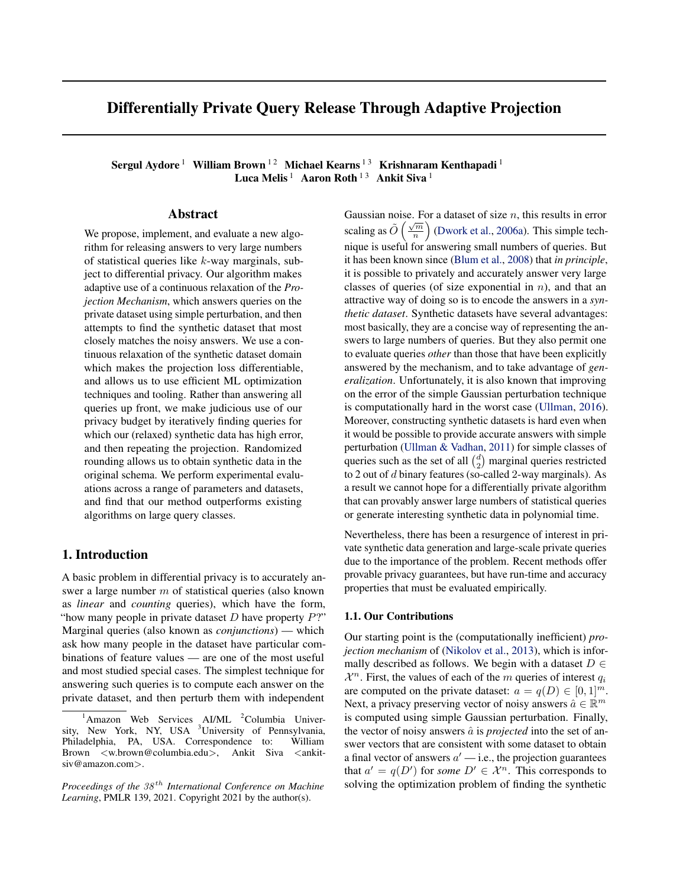# Differentially Private Query Release Through Adaptive Projection

Sergul Aydore <sup>1</sup> William Brown  $^{12}$  Michael Kearns  $^{13}$  Krishnaram Kenthapadi  $^{1}$ Luca Melis  $^1$  Aaron Roth  $^{13}$  Ankit Siva  $^1$ 

## Abstract

We propose, implement, and evaluate a new algorithm for releasing answers to very large numbers of statistical queries like  $k$ -way marginals, subject to differential privacy. Our algorithm makes adaptive use of a continuous relaxation of the *Projection Mechanism*, which answers queries on the private dataset using simple perturbation, and then attempts to find the synthetic dataset that most closely matches the noisy answers. We use a continuous relaxation of the synthetic dataset domain which makes the projection loss differentiable, and allows us to use efficient ML optimization techniques and tooling. Rather than answering all queries up front, we make judicious use of our privacy budget by iteratively finding queries for which our (relaxed) synthetic data has high error, and then repeating the projection. Randomized rounding allows us to obtain synthetic data in the original schema. We perform experimental evaluations across a range of parameters and datasets, and find that our method outperforms existing algorithms on large query classes.

## 1. Introduction

A basic problem in differential privacy is to accurately answer a large number m of statistical queries (also known as *linear* and *counting* queries), which have the form, "how many people in private dataset  $D$  have property  $P$ ?" Marginal queries (also known as *conjunctions*) — which ask how many people in the dataset have particular combinations of feature values — are one of the most useful and most studied special cases. The simplest technique for answering such queries is to compute each answer on the private dataset, and then perturb them with independent Gaussian noise. For a dataset of size  $n$ , this results in error scaling as  $\tilde{O}\left(\frac{\sqrt{m}}{n}\right)$  [\(Dwork et al.,](#page-9-0) [2006a\)](#page-9-0). This simple technique is useful for answering small numbers of queries. But it has been known since [\(Blum et al.,](#page-9-0) [2008\)](#page-9-0) that *in principle*, it is possible to privately and accurately answer very large classes of queries (of size exponential in  $n$ ), and that an attractive way of doing so is to encode the answers in a *synthetic dataset*. Synthetic datasets have several advantages: most basically, they are a concise way of representing the answers to large numbers of queries. But they also permit one to evaluate queries *other* than those that have been explicitly answered by the mechanism, and to take advantage of *generalization*. Unfortunately, it is also known that improving on the error of the simple Gaussian perturbation technique is computationally hard in the worst case [\(Ullman,](#page-10-0) [2016\)](#page-10-0). Moreover, constructing synthetic datasets is hard even when it would be possible to provide accurate answers with simple perturbation [\(Ullman & Vadhan,](#page-10-0) [2011\)](#page-10-0) for simple classes of queries such as the set of all  $\binom{d}{2}$  marginal queries restricted to 2 out of  $d$  binary features (so-called 2-way marginals). As a result we cannot hope for a differentially private algorithm that can provably answer large numbers of statistical queries or generate interesting synthetic data in polynomial time.

Nevertheless, there has been a resurgence of interest in private synthetic data generation and large-scale private queries due to the importance of the problem. Recent methods offer provable privacy guarantees, but have run-time and accuracy properties that must be evaluated empirically.

### 1.1. Our Contributions

Our starting point is the (computationally inefficient) *projection mechanism* of [\(Nikolov et al.,](#page-10-0) [2013\)](#page-10-0), which is informally described as follows. We begin with a dataset  $D \in$  $\mathcal{X}^n$ . First, the values of each of the m queries of interest  $q_i$ are computed on the private dataset:  $a = q(D) \in [0, 1]^m$ . Next, a privacy preserving vector of noisy answers  $\hat{a} \in \mathbb{R}^m$ is computed using simple Gaussian perturbation. Finally, the vector of noisy answers  $\hat{a}$  is *projected* into the set of answer vectors that are consistent with some dataset to obtain a final vector of answers  $a'$  — i.e., the projection guarantees that  $a' = q(D')$  for *some*  $D' \in \mathcal{X}^n$ . This corresponds to solving the optimization problem of finding the synthetic

 $1$ Amazon Web Services AI/ML  $2$ Columbia University, New York, NY, USA <sup>3</sup>University of Pennsylvania, Philadelphia, PA, USA. Correspondence to: William Brown <w.brown@columbia.edu>, Ankit Siva <ankitsiv@amazon.com>.

*Proceedings of the*  $38<sup>th</sup>$  *International Conference on Machine Learning*, PMLR 139, 2021. Copyright 2021 by the author(s).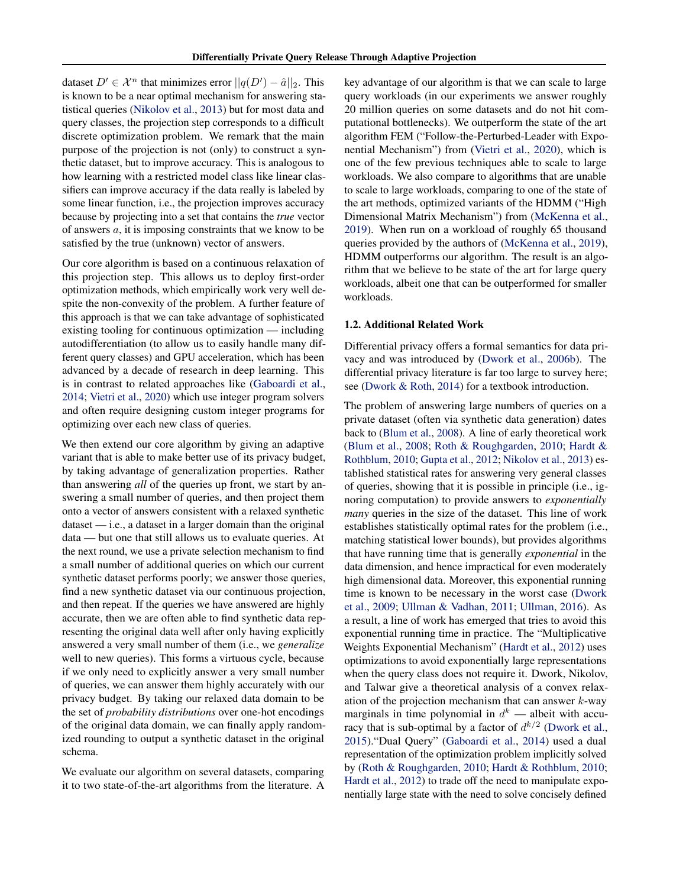dataset  $D' \in \mathcal{X}^n$  that minimizes error  $||q(D') - \hat{a}||_2$ . This is known to be a near optimal mechanism for answering statistical queries [\(Nikolov et al.,](#page-10-0) [2013\)](#page-10-0) but for most data and query classes, the projection step corresponds to a difficult discrete optimization problem. We remark that the main purpose of the projection is not (only) to construct a synthetic dataset, but to improve accuracy. This is analogous to how learning with a restricted model class like linear classifiers can improve accuracy if the data really is labeled by some linear function, i.e., the projection improves accuracy because by projecting into a set that contains the *true* vector of answers a, it is imposing constraints that we know to be satisfied by the true (unknown) vector of answers.

Our core algorithm is based on a continuous relaxation of this projection step. This allows us to deploy first-order optimization methods, which empirically work very well despite the non-convexity of the problem. A further feature of this approach is that we can take advantage of sophisticated existing tooling for continuous optimization — including autodifferentiation (to allow us to easily handle many different query classes) and GPU acceleration, which has been advanced by a decade of research in deep learning. This is in contrast to related approaches like [\(Gaboardi et al.,](#page-9-0) [2014;](#page-9-0) [Vietri et al.,](#page-10-0) [2020\)](#page-10-0) which use integer program solvers and often require designing custom integer programs for optimizing over each new class of queries.

We then extend our core algorithm by giving an adaptive variant that is able to make better use of its privacy budget, by taking advantage of generalization properties. Rather than answering *all* of the queries up front, we start by answering a small number of queries, and then project them onto a vector of answers consistent with a relaxed synthetic dataset — i.e., a dataset in a larger domain than the original data — but one that still allows us to evaluate queries. At the next round, we use a private selection mechanism to find a small number of additional queries on which our current synthetic dataset performs poorly; we answer those queries, find a new synthetic dataset via our continuous projection, and then repeat. If the queries we have answered are highly accurate, then we are often able to find synthetic data representing the original data well after only having explicitly answered a very small number of them (i.e., we *generalize* well to new queries). This forms a virtuous cycle, because if we only need to explicitly answer a very small number of queries, we can answer them highly accurately with our privacy budget. By taking our relaxed data domain to be the set of *probability distributions* over one-hot encodings of the original data domain, we can finally apply randomized rounding to output a synthetic dataset in the original schema.

We evaluate our algorithm on several datasets, comparing it to two state-of-the-art algorithms from the literature. A

key advantage of our algorithm is that we can scale to large query workloads (in our experiments we answer roughly 20 million queries on some datasets and do not hit computational bottlenecks). We outperform the state of the art algorithm FEM ("Follow-the-Perturbed-Leader with Exponential Mechanism") from [\(Vietri et al.,](#page-10-0) [2020\)](#page-10-0), which is one of the few previous techniques able to scale to large workloads. We also compare to algorithms that are unable to scale to large workloads, comparing to one of the state of the art methods, optimized variants of the HDMM ("High Dimensional Matrix Mechanism") from [\(McKenna et al.,](#page-10-0) [2019\)](#page-10-0). When run on a workload of roughly 65 thousand queries provided by the authors of [\(McKenna et al.,](#page-10-0) [2019\)](#page-10-0), HDMM outperforms our algorithm. The result is an algorithm that we believe to be state of the art for large query workloads, albeit one that can be outperformed for smaller workloads.

### 1.2. Additional Related Work

Differential privacy offers a formal semantics for data privacy and was introduced by [\(Dwork et al.,](#page-9-0) [2006b\)](#page-9-0). The differential privacy literature is far too large to survey here; see [\(Dwork & Roth,](#page-9-0) [2014\)](#page-9-0) for a textbook introduction.

The problem of answering large numbers of queries on a private dataset (often via synthetic data generation) dates back to [\(Blum et al.,](#page-9-0) [2008\)](#page-9-0). A line of early theoretical work [\(Blum et al.,](#page-9-0) [2008;](#page-9-0) [Roth & Roughgarden,](#page-10-0) [2010;](#page-10-0) [Hardt &](#page-9-0) [Rothblum,](#page-9-0) [2010;](#page-9-0) [Gupta et al.,](#page-9-0) [2012;](#page-9-0) [Nikolov et al.,](#page-10-0) [2013\)](#page-10-0) established statistical rates for answering very general classes of queries, showing that it is possible in principle (i.e., ignoring computation) to provide answers to *exponentially many* queries in the size of the dataset. This line of work establishes statistically optimal rates for the problem (i.e., matching statistical lower bounds), but provides algorithms that have running time that is generally *exponential* in the data dimension, and hence impractical for even moderately high dimensional data. Moreover, this exponential running time is known to be necessary in the worst case [\(Dwork](#page-9-0) [et al.,](#page-9-0) [2009;](#page-9-0) [Ullman & Vadhan,](#page-10-0) [2011;](#page-10-0) [Ullman,](#page-10-0) [2016\)](#page-10-0). As a result, a line of work has emerged that tries to avoid this exponential running time in practice. The "Multiplicative Weights Exponential Mechanism" [\(Hardt et al.,](#page-9-0) [2012\)](#page-9-0) uses optimizations to avoid exponentially large representations when the query class does not require it. Dwork, Nikolov, and Talwar give a theoretical analysis of a convex relaxation of the projection mechanism that can answer  $k$ -way marginals in time polynomial in  $d^k$  — albeit with accuracy that is sub-optimal by a factor of  $d^{k/2}$  [\(Dwork et al.,](#page-9-0) [2015\)](#page-9-0)."Dual Query" [\(Gaboardi et al.,](#page-9-0) [2014\)](#page-9-0) used a dual representation of the optimization problem implicitly solved by [\(Roth & Roughgarden,](#page-10-0) [2010;](#page-10-0) [Hardt & Rothblum,](#page-9-0) [2010;](#page-9-0) [Hardt et al.,](#page-9-0) [2012\)](#page-9-0) to trade off the need to manipulate exponentially large state with the need to solve concisely defined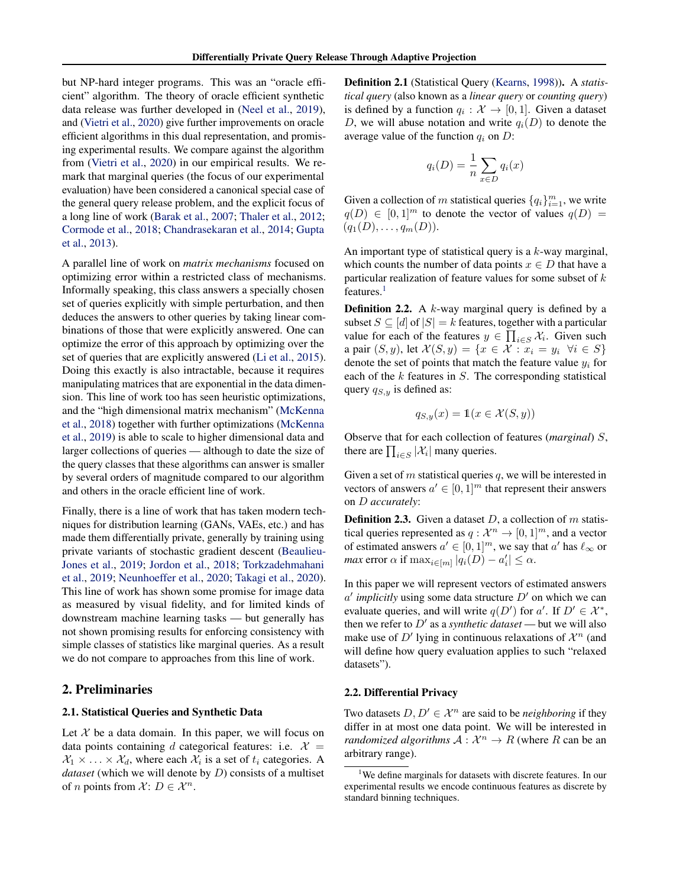but NP-hard integer programs. This was an "oracle efficient" algorithm. The theory of oracle efficient synthetic data release was further developed in [\(Neel et al.,](#page-10-0) [2019\)](#page-10-0), and [\(Vietri et al.,](#page-10-0) [2020\)](#page-10-0) give further improvements on oracle efficient algorithms in this dual representation, and promising experimental results. We compare against the algorithm from [\(Vietri et al.,](#page-10-0) [2020\)](#page-10-0) in our empirical results. We remark that marginal queries (the focus of our experimental evaluation) have been considered a canonical special case of the general query release problem, and the explicit focus of a long line of work [\(Barak et al.,](#page-9-0) [2007;](#page-9-0) [Thaler et al.,](#page-10-0) [2012;](#page-10-0) [Cormode et al.,](#page-9-0) [2018;](#page-9-0) [Chandrasekaran et al.,](#page-9-0) [2014;](#page-9-0) [Gupta](#page-9-0) [et al.,](#page-9-0) [2013\)](#page-9-0).

A parallel line of work on *matrix mechanisms* focused on optimizing error within a restricted class of mechanisms. Informally speaking, this class answers a specially chosen set of queries explicitly with simple perturbation, and then deduces the answers to other queries by taking linear combinations of those that were explicitly answered. One can optimize the error of this approach by optimizing over the set of queries that are explicitly answered [\(Li et al.,](#page-10-0) [2015\)](#page-10-0). Doing this exactly is also intractable, because it requires manipulating matrices that are exponential in the data dimension. This line of work too has seen heuristic optimizations, and the "high dimensional matrix mechanism" [\(McKenna](#page-10-0) [et al.,](#page-10-0) [2018\)](#page-10-0) together with further optimizations [\(McKenna](#page-10-0) [et al.,](#page-10-0) [2019\)](#page-10-0) is able to scale to higher dimensional data and larger collections of queries — although to date the size of the query classes that these algorithms can answer is smaller by several orders of magnitude compared to our algorithm and others in the oracle efficient line of work.

Finally, there is a line of work that has taken modern techniques for distribution learning (GANs, VAEs, etc.) and has made them differentially private, generally by training using private variants of stochastic gradient descent [\(Beaulieu-](#page-9-0)[Jones et al.,](#page-9-0) [2019;](#page-9-0) [Jordon et al.,](#page-9-0) [2018;](#page-9-0) [Torkzadehmahani](#page-10-0) [et al.,](#page-10-0) [2019;](#page-10-0) [Neunhoeffer et al.,](#page-10-0) [2020;](#page-10-0) [Takagi et al.,](#page-10-0) [2020\)](#page-10-0). This line of work has shown some promise for image data as measured by visual fidelity, and for limited kinds of downstream machine learning tasks — but generally has not shown promising results for enforcing consistency with simple classes of statistics like marginal queries. As a result we do not compare to approaches from this line of work.

## 2. Preliminaries

### 2.1. Statistical Queries and Synthetic Data

Let  $X$  be a data domain. In this paper, we will focus on data points containing d categorical features: i.e.  $\mathcal{X} =$  $X_1 \times \ldots \times X_d$ , where each  $X_i$  is a set of  $t_i$  categories. A *dataset* (which we will denote by D) consists of a multiset of *n* points from  $\mathcal{X}$ :  $D \in \mathcal{X}^n$ .

Definition 2.1 (Statistical Query [\(Kearns,](#page-9-0) [1998\)](#page-9-0)). A *statistical query* (also known as a *linear query* or *counting query*) is defined by a function  $q_i : \mathcal{X} \to [0,1]$ . Given a dataset D, we will abuse notation and write  $q_i(D)$  to denote the average value of the function  $q_i$  on  $D$ :

$$
q_i(D) = \frac{1}{n} \sum_{x \in D} q_i(x)
$$

Given a collection of m statistical queries  $\{q_i\}_{i=1}^m$ , we write  $q(D) \in [0,1]^m$  to denote the vector of values  $q(D) =$  $(q_1(D), \ldots, q_m(D)).$ 

An important type of statistical query is a  $k$ -way marginal, which counts the number of data points  $x \in D$  that have a particular realization of feature values for some subset of k features.<sup>1</sup>

**Definition 2.2.** A  $k$ -way marginal query is defined by a subset  $S \subseteq [d]$  of  $|S| = k$  features, together with a particular value for each of the features  $y \in \prod_{i \in S} \mathcal{X}_i$ . Given such a pair  $(S, y)$ , let  $\mathcal{X}(S, y) = \{x \in \mathcal{X} : x_i = y_i \ \forall i \in S\}$ denote the set of points that match the feature value  $y_i$  for each of the  $k$  features in  $S$ . The corresponding statistical query  $q_{S,y}$  is defined as:

$$
q_{S,y}(x) = \mathbb{1}(x \in \mathcal{X}(S, y))
$$

Observe that for each collection of features (*marginal*) S, there are  $\prod_{i \in S} |\mathcal{X}_i|$  many queries.

Given a set of  $m$  statistical queries  $q$ , we will be interested in vectors of answers  $a' \in [0, 1]^m$  that represent their answers on D *accurately*:

**Definition 2.3.** Given a dataset  $D$ , a collection of m statistical queries represented as  $q: \mathcal{X}^n \to [0,1]^m$ , and a vector of estimated answers  $a' \in [0, 1]^m$ , we say that  $a'$  has  $\ell_{\infty}$  or *max* error  $\alpha$  if  $\max_{i \in [m]} |q_i(D) - a'_i| \leq \alpha$ .

In this paper we will represent vectors of estimated answers  $a'$  *implicitly* using some data structure  $D'$  on which we can evaluate queries, and will write  $q(D')$  for a'. If  $D' \in \mathcal{X}^*$ , then we refer to  $D'$  as a *synthetic dataset* — but we will also make use of  $D'$  lying in continuous relaxations of  $\mathcal{X}^n$  (and will define how query evaluation applies to such "relaxed datasets").

### 2.2. Differential Privacy

Two datasets  $D, D' \in \mathcal{X}^n$  are said to be *neighboring* if they differ in at most one data point. We will be interested in *randomized algorithms*  $A: \mathcal{X}^n \to R$  (where R can be an arbitrary range).

<sup>1</sup>We define marginals for datasets with discrete features. In our experimental results we encode continuous features as discrete by standard binning techniques.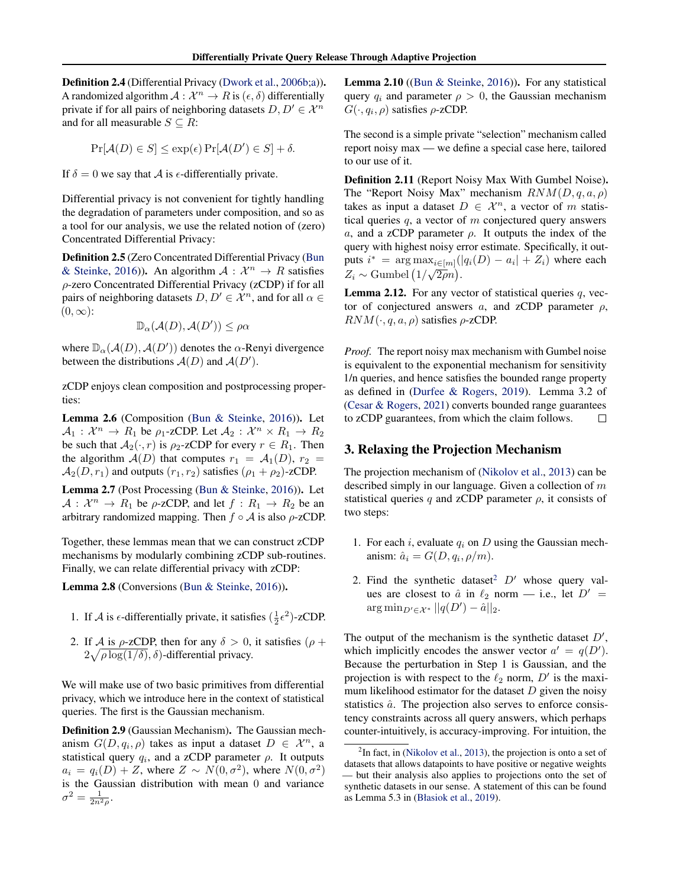<span id="page-3-0"></span>Definition 2.4 (Differential Privacy [\(Dwork et al.,](#page-9-0) [2006b;a\)](#page-9-0)). A randomized algorithm  $A: \mathcal{X}^n \to R$  is  $(\epsilon, \delta)$  differentially private if for all pairs of neighboring datasets  $D, D' \in \mathcal{X}^n$ and for all measurable  $S \subseteq R$ :

$$
\Pr[\mathcal{A}(D) \in S] \le \exp(\epsilon) \Pr[\mathcal{A}(D') \in S] + \delta.
$$

If  $\delta = 0$  we say that A is  $\epsilon$ -differentially private.

Differential privacy is not convenient for tightly handling the degradation of parameters under composition, and so as a tool for our analysis, we use the related notion of (zero) Concentrated Differential Privacy:

Definition 2.5 (Zero Concentrated Differential Privacy [\(Bun](#page-9-0) [& Steinke,](#page-9-0) [2016\)](#page-9-0)). An algorithm  $A: \mathcal{X}^n \to R$  satisfies ρ-zero Concentrated Differential Privacy (zCDP) if for all pairs of neighboring datasets  $D, D' \in \mathcal{X}^n$ , and for all  $\alpha \in$  $(0, \infty)$ :

$$
\mathbb{D}_{\alpha}(\mathcal{A}(D), \mathcal{A}(D')) \leq \rho \alpha
$$

where  $\mathbb{D}_{\alpha}(\mathcal{A}(D), \mathcal{A}(D'))$  denotes the  $\alpha$ -Renyi divergence between the distributions  $A(D)$  and  $A(D')$ .

zCDP enjoys clean composition and postprocessing properties:

Lemma 2.6 (Composition [\(Bun & Steinke,](#page-9-0) [2016\)](#page-9-0)). Let  $A_1: \mathcal{X}^n \to R_1$  be  $\rho_1$ -zCDP. Let  $A_2: \mathcal{X}^n \times R_1 \to R_2$ be such that  $A_2(\cdot, r)$  is  $\rho_2$ -zCDP for every  $r \in R_1$ . Then the algorithm  $A(D)$  that computes  $r_1 = A_1(D)$ ,  $r_2 =$  $\mathcal{A}_2(D, r_1)$  and outputs  $(r_1, r_2)$  satisfies  $(\rho_1 + \rho_2)$ -zCDP.

Lemma 2.7 (Post Processing [\(Bun & Steinke,](#page-9-0) [2016\)](#page-9-0)). Let  $A: \mathcal{X}^n \to R_1$  be  $\rho$ -zCDP, and let  $f: R_1 \to R_2$  be an arbitrary randomized mapping. Then  $f \circ A$  is also  $\rho$ -zCDP.

Together, these lemmas mean that we can construct zCDP mechanisms by modularly combining zCDP sub-routines. Finally, we can relate differential privacy with zCDP:

Lemma 2.8 (Conversions [\(Bun & Steinke,](#page-9-0) [2016\)](#page-9-0)).

- 1. If A is  $\epsilon$ -differentially private, it satisfies  $(\frac{1}{2}\epsilon^2)$ -zCDP.
- 2. If A is  $\rho$ -zCDP, then for any  $\delta > 0$ , it satisfies  $(\rho +$  $2\sqrt{\rho \log(1/\delta)}$ ,  $\delta$ )-differential privacy.

We will make use of two basic primitives from differential privacy, which we introduce here in the context of statistical queries. The first is the Gaussian mechanism.

Definition 2.9 (Gaussian Mechanism). The Gaussian mechanism  $G(D, q_i, \rho)$  takes as input a dataset  $D \in \mathcal{X}^n$ , a statistical query  $q_i$ , and a zCDP parameter  $\rho$ . It outputs  $a_i = q_i(D) + Z$ , where  $Z \sim N(0, \sigma^2)$ , where  $N(0, \sigma^2)$ is the Gaussian distribution with mean 0 and variance  $\sigma^2 = \frac{1}{2n^2\rho}.$ 

Lemma 2.10 ([\(Bun & Steinke,](#page-9-0) [2016\)](#page-9-0)). For any statistical query  $q_i$  and parameter  $\rho > 0$ , the Gaussian mechanism  $G(\cdot, q_i, \rho)$  satisfies  $\rho$ -zCDP.

The second is a simple private "selection" mechanism called report noisy max — we define a special case here, tailored to our use of it.

Definition 2.11 (Report Noisy Max With Gumbel Noise). The "Report Noisy Max" mechanism  $RNM(D, q, a, \rho)$ takes as input a dataset  $D \in \mathcal{X}^n$ , a vector of m statistical queries  $q$ , a vector of  $m$  conjectured query answers a, and a zCDP parameter  $\rho$ . It outputs the index of the query with highest noisy error estimate. Specifically, it outputs  $i^* = \arg \max_{i \in [m]} (|q_i(D) - a_i| + Z_i)$  where each  $Z_i \sim \text{Gumbel} \left( 1/\sqrt{2\rho}n \right).$ 

**Lemma 2.12.** For any vector of statistical queries  $q$ , vector of conjectured answers  $a$ , and zCDP parameter  $\rho$ ,  $RNM(\cdot, q, a, \rho)$  satisfies  $\rho$ -zCDP.

*Proof.* The report noisy max mechanism with Gumbel noise is equivalent to the exponential mechanism for sensitivity 1/n queries, and hence satisfies the bounded range property as defined in [\(Durfee & Rogers,](#page-9-0) [2019\)](#page-9-0). Lemma 3.2 of [\(Cesar & Rogers,](#page-9-0) [2021\)](#page-9-0) converts bounded range guarantees to zCDP guarantees, from which the claim follows.  $\Box$ 

## 3. Relaxing the Projection Mechanism

The projection mechanism of [\(Nikolov et al.,](#page-10-0) [2013\)](#page-10-0) can be described simply in our language. Given a collection of  $m$ statistical queries q and zCDP parameter  $\rho$ , it consists of two steps:

- 1. For each i, evaluate  $q_i$  on D using the Gaussian mechanism:  $\hat{a}_i = G(D, q_i, \rho/m)$ .
- 2. Find the synthetic dataset<sup>2</sup>  $D'$  whose query values are closest to  $\hat{a}$  in  $\ell_2$  norm — i.e., let  $D' =$  $\arg \min_{D' \in \mathcal{X}^*} ||q(D') - \hat{a}||_2.$

The output of the mechanism is the synthetic dataset  $D'$ , which implicitly encodes the answer vector  $a' = q(D')$ . Because the perturbation in Step 1 is Gaussian, and the projection is with respect to the  $\ell_2$  norm,  $D'$  is the maximum likelihood estimator for the dataset  $D$  given the noisy statistics  $\hat{a}$ . The projection also serves to enforce consistency constraints across all query answers, which perhaps counter-intuitively, is accuracy-improving. For intuition, the

 $2$ In fact, in [\(Nikolov et al.,](#page-10-0) [2013\)](#page-10-0), the projection is onto a set of datasets that allows datapoints to have positive or negative weights — but their analysis also applies to projections onto the set of synthetic datasets in our sense. A statement of this can be found as Lemma 5.3 in [\(Błasiok et al.,](#page-9-0) [2019\)](#page-9-0).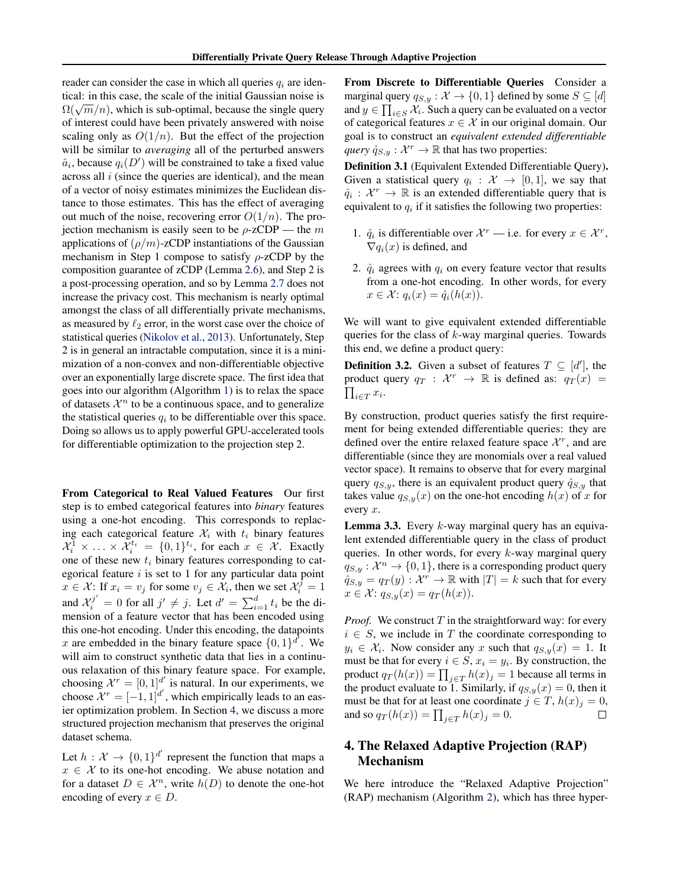reader can consider the case in which all queries  $q_i$  are identical: in this case, the scale of the initial Gaussian noise is  $\Omega(\sqrt{m}/n)$ , which is sub-optimal, because the single query of interest could have been privately answered with noise scaling only as  $O(1/n)$ . But the effect of the projection will be similar to *averaging* all of the perturbed answers  $\hat{a}_i$ , because  $q_i(D')$  will be constrained to take a fixed value across all  $i$  (since the queries are identical), and the mean of a vector of noisy estimates minimizes the Euclidean distance to those estimates. This has the effect of averaging out much of the noise, recovering error  $O(1/n)$ . The projection mechanism is easily seen to be  $\rho$ -zCDP — the m applications of  $(\rho/m)$ -zCDP instantiations of the Gaussian mechanism in Step 1 compose to satisfy  $\rho$ -zCDP by the composition guarantee of zCDP (Lemma [2.6\)](#page-3-0), and Step 2 is a post-processing operation, and so by Lemma [2.7](#page-3-0) does not increase the privacy cost. This mechanism is nearly optimal amongst the class of all differentially private mechanisms, as measured by  $\ell_2$  error, in the worst case over the choice of statistical queries [\(Nikolov et al.,](#page-10-0) [2013\)](#page-10-0). Unfortunately, Step 2 is in general an intractable computation, since it is a minimization of a non-convex and non-differentiable objective over an exponentially large discrete space. The first idea that goes into our algorithm (Algorithm [1\)](#page-5-0) is to relax the space of datasets  $\mathcal{X}^n$  to be a continuous space, and to generalize the statistical queries  $q_i$  to be differentiable over this space. Doing so allows us to apply powerful GPU-accelerated tools for differentiable optimization to the projection step 2.

From Categorical to Real Valued Features Our first step is to embed categorical features into *binary* features using a one-hot encoding. This corresponds to replacing each categorical feature  $\mathcal{X}_i$  with  $t_i$  binary features  $\mathcal{X}_i^1 \times \ldots \times \mathcal{X}_i^{t_i} = \{0,1\}^{t_i}$ , for each  $x \in \mathcal{X}$ . Exactly one of these new  $t_i$  binary features corresponding to categorical feature  $i$  is set to 1 for any particular data point  $x \in \mathcal{X}$ : If  $x_i = v_j$  for some  $v_j \in \mathcal{X}_i$ , then we set  $\mathcal{X}_i^j = 1$ and  $\mathcal{X}_i^{j'} = 0$  for all  $j' \neq j$ . Let  $d' = \sum_{i=1}^d t_i$  be the dimension of a feature vector that has been encoded using this one-hot encoding. Under this encoding, the datapoints x are embedded in the binary feature space  $\{0, 1\}^{d'}$ . We will aim to construct synthetic data that lies in a continuous relaxation of this binary feature space. For example, choosing  $\mathcal{X}^r = [0, 1]^d$  is natural. In our experiments, we choose  $\mathcal{X}^r = [-1, 1]^{d'}$ , which empirically leads to an easier optimization problem. In Section [4,](#page-5-0) we discuss a more structured projection mechanism that preserves the original dataset schema.

Let  $h: \mathcal{X} \to \{0,1\}^{d'}$  represent the function that maps a  $x \in \mathcal{X}$  to its one-hot encoding. We abuse notation and for a dataset  $D \in \mathcal{X}^n$ , write  $h(D)$  to denote the one-hot encoding of every  $x \in D$ .

From Discrete to Differentiable Queries Consider a marginal query  $q_{S,y} : \mathcal{X} \to \{0,1\}$  defined by some  $S \subseteq [d]$ and  $y \in \prod_{i \in S} \mathcal{X}_i$ . Such a query can be evaluated on a vector of categorical features  $x \in \mathcal{X}$  in our original domain. Our goal is to construct an *equivalent extended differentiable query*  $\hat{q}_{S,y} : \mathcal{X}^r \to \mathbb{R}$  that has two properties:

Definition 3.1 (Equivalent Extended Differentiable Query). Given a statistical query  $q_i : \mathcal{X} \to [0,1]$ , we say that  $\hat{q}_i : \mathcal{X}^r \to \mathbb{R}$  is an extended differentiable query that is equivalent to  $q_i$  if it satisfies the following two properties:

- 1.  $\hat{q}_i$  is differentiable over  $\mathcal{X}^r$  i.e. for every  $x \in \mathcal{X}^r$ ,  $\nabla q_i(x)$  is defined, and
- 2.  $\hat{q}_i$  agrees with  $q_i$  on every feature vector that results from a one-hot encoding. In other words, for every  $x \in \mathcal{X}$ :  $q_i(x) = \hat{q}_i(h(x))$ .

We will want to give equivalent extended differentiable queries for the class of  $k$ -way marginal queries. Towards this end, we define a product query:

**Definition 3.2.** Given a subset of features  $T \subseteq [d']$ , the product query  $q_T : \mathcal{X}^r \to \mathbb{R}$  is defined as:  $q_T(x) =$  $\prod_{i\in T} x_i$ .

By construction, product queries satisfy the first requirement for being extended differentiable queries: they are defined over the entire relaxed feature space  $\mathcal{X}^r$ , and are differentiable (since they are monomials over a real valued vector space). It remains to observe that for every marginal query  $q_{S,y}$ , there is an equivalent product query  $\hat{q}_{S,y}$  that takes value  $q_{S,y}(x)$  on the one-hot encoding  $h(x)$  of x for every x.

**Lemma 3.3.** Every  $k$ -way marginal query has an equivalent extended differentiable query in the class of product queries. In other words, for every  $k$ -way marginal query  $q_{S,y} : \mathcal{X}^n \to \{0,1\}$ , there is a corresponding product query  $\hat{q}_{S,y} = q_T(y) : \mathcal{X}^r \to \mathbb{R}$  with  $|T| = k$  such that for every  $x \in \mathcal{X}$ :  $q_{S,y}(x) = q_T(h(x)).$ 

*Proof.* We construct  $T$  in the straightforward way: for every  $i \in S$ , we include in T the coordinate corresponding to  $y_i \in \mathcal{X}_i$ . Now consider any x such that  $q_{S,y}(x) = 1$ . It must be that for every  $i \in S$ ,  $x_i = y_i$ . By construction, the product  $q_T(h(x)) = \prod_{j \in T} h(x)_j = 1$  because all terms in the product evaluate to 1. Similarly, if  $q_{S,y}(x) = 0$ , then it must be that for at least one coordinate  $j \in T$ ,  $h(x)_{i} = 0$ , and so  $q_T(h(x)) = \prod_{j \in T} h(x)_j = 0$ .  $\Box$ 

## 4. The Relaxed Adaptive Projection (RAP) Mechanism

We here introduce the "Relaxed Adaptive Projection" (RAP) mechanism (Algorithm [2\)](#page-6-0), which has three hyper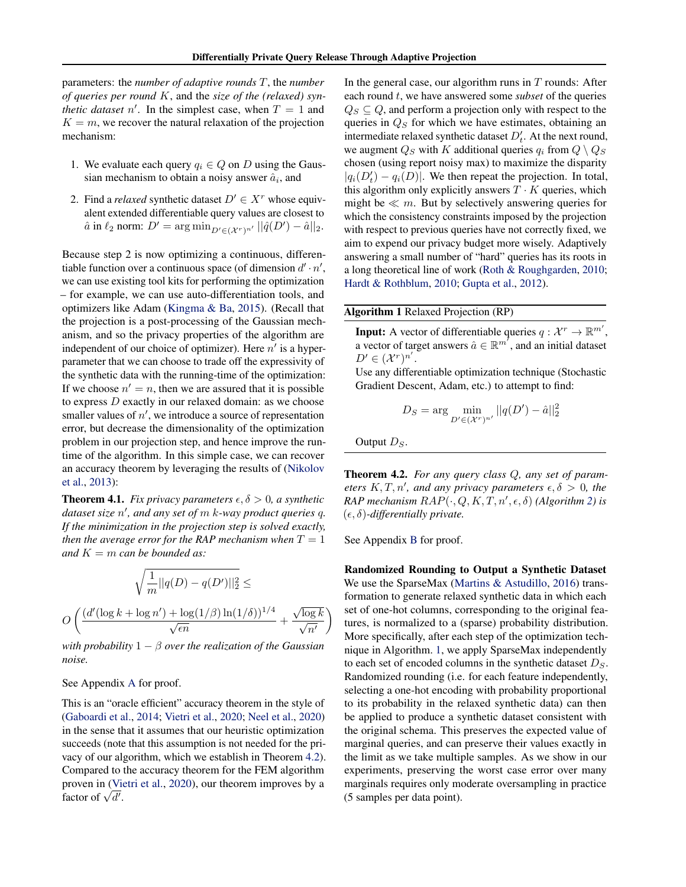<span id="page-5-0"></span>parameters: the *number of adaptive rounds* T, the *number of queries per round* K, and the *size of the (relaxed) synthetic dataset*  $n'$ . In the simplest case, when  $T = 1$  and  $K = m$ , we recover the natural relaxation of the projection mechanism:

- 1. We evaluate each query  $q_i \in Q$  on D using the Gaussian mechanism to obtain a noisy answer  $\hat{a}_i$ , and
- 2. Find a *relaxed* synthetic dataset  $D' \in X^r$  whose equivalent extended differentiable query values are closest to  $\hat{a}$  in  $\ell_2$  norm:  $D' = \arg \min_{D' \in (X^r)^{n'}} ||\hat{q}(D') - \hat{a}||_2$ .

Because step 2 is now optimizing a continuous, differentiable function over a continuous space (of dimension  $d' \cdot n'$ , we can use existing tool kits for performing the optimization – for example, we can use auto-differentiation tools, and optimizers like Adam [\(Kingma & Ba,](#page-10-0) [2015\)](#page-10-0). (Recall that the projection is a post-processing of the Gaussian mechanism, and so the privacy properties of the algorithm are independent of our choice of optimizer). Here  $n'$  is a hyperparameter that we can choose to trade off the expressivity of the synthetic data with the running-time of the optimization: If we choose  $n' = n$ , then we are assured that it is possible to express D exactly in our relaxed domain: as we choose smaller values of  $n'$ , we introduce a source of representation error, but decrease the dimensionality of the optimization problem in our projection step, and hence improve the runtime of the algorithm. In this simple case, we can recover an accuracy theorem by leveraging the results of [\(Nikolov](#page-10-0) [et al.,](#page-10-0) [2013\)](#page-10-0):

**Theorem 4.1.** *Fix privacy parameters*  $\epsilon, \delta > 0$ *, a synthetic dataset size* n 0 *, and any set of* m k*-way product queries* q*. If the minimization in the projection step is solved exactly, then the average error for the RAP mechanism when*  $T = 1$ *and* K = m *can be bounded as:*

$$
\sqrt{\frac{1}{m}||q(D) - q(D')||_2^2} \le
$$
  

$$
O\left(\frac{(d'(\log k + \log n') + \log(1/\beta)\ln(1/\delta))^{1/4}}{\sqrt{\epsilon n}} + \frac{\sqrt{\log k}}{\sqrt{n'}}\right)
$$

*with probability* 1 − β *over the realization of the Gaussian noise.*

### See Appendix [A](#page--1-0) for proof.

This is an "oracle efficient" accuracy theorem in the style of [\(Gaboardi et al.,](#page-9-0) [2014;](#page-9-0) [Vietri et al.,](#page-10-0) [2020;](#page-10-0) [Neel et al.,](#page-10-0) [2020\)](#page-10-0) in the sense that it assumes that our heuristic optimization succeeds (note that this assumption is not needed for the privacy of our algorithm, which we establish in Theorem 4.2). Compared to the accuracy theorem for the FEM algorithm proven in [\(Vietri et al.,](#page-10-0) [2020\)](#page-10-0), our theorem improves by a proven in  $\sqrt{d'}$ .<br>factor of  $\sqrt{d'}$ .

In the general case, our algorithm runs in  $T$  rounds: After each round t, we have answered some *subset* of the queries  $Q_S \subseteq Q$ , and perform a projection only with respect to the queries in  $Q<sub>S</sub>$  for which we have estimates, obtaining an intermediate relaxed synthetic dataset  $D'_t$ . At the next round, we augment  $Q_S$  with K additional queries  $q_i$  from  $Q \setminus Q_S$ chosen (using report noisy max) to maximize the disparity  $|q_i(D'_t) - q_i(D)|$ . We then repeat the projection. In total, this algorithm only explicitly answers  $T \cdot K$  queries, which might be  $\ll m$ . But by selectively answering queries for which the consistency constraints imposed by the projection with respect to previous queries have not correctly fixed, we aim to expend our privacy budget more wisely. Adaptively answering a small number of "hard" queries has its roots in a long theoretical line of work [\(Roth & Roughgarden,](#page-10-0) [2010;](#page-10-0) [Hardt & Rothblum,](#page-9-0) [2010;](#page-9-0) [Gupta et al.,](#page-9-0) [2012\)](#page-9-0).

Algorithm 1 Relaxed Projection (RP)

**Input:** A vector of differentiable queries  $q: \mathcal{X}^r \to \mathbb{R}^{m'}$ , a vector of target answers  $\hat{a} \in \mathbb{R}^{m'}$ , and an initial dataset  $D' \in (\mathcal{X}^r)^{n'}.$ 

Use any differentiable optimization technique (Stochastic Gradient Descent, Adam, etc.) to attempt to find:

$$
D_S = \arg\min_{D' \in (\mathcal{X}^r)^{n'}} ||q(D') - \hat{a}||_2^2
$$

Output  $D<sub>S</sub>$ .

Theorem 4.2. *For any query class* Q*, any set of parameters*  $K, T, n'$ , and any privacy parameters  $\epsilon, \delta > 0$ , the  $RAP$  *mechanism*  $RAP(\cdot, Q, K, T, n', \epsilon, \delta)$  *(Algorithm [2\)](#page-6-0) is*  $(\epsilon, \delta)$ -differentially private.

See Appendix [B](#page--1-0) for proof.

Randomized Rounding to Output a Synthetic Dataset We use the SparseMax [\(Martins & Astudillo,](#page-10-0) [2016\)](#page-10-0) transformation to generate relaxed synthetic data in which each set of one-hot columns, corresponding to the original features, is normalized to a (sparse) probability distribution. More specifically, after each step of the optimization technique in Algorithm. 1, we apply SparseMax independently to each set of encoded columns in the synthetic dataset  $D<sub>S</sub>$ . Randomized rounding (i.e. for each feature independently, selecting a one-hot encoding with probability proportional to its probability in the relaxed synthetic data) can then be applied to produce a synthetic dataset consistent with the original schema. This preserves the expected value of marginal queries, and can preserve their values exactly in the limit as we take multiple samples. As we show in our experiments, preserving the worst case error over many marginals requires only moderate oversampling in practice (5 samples per data point).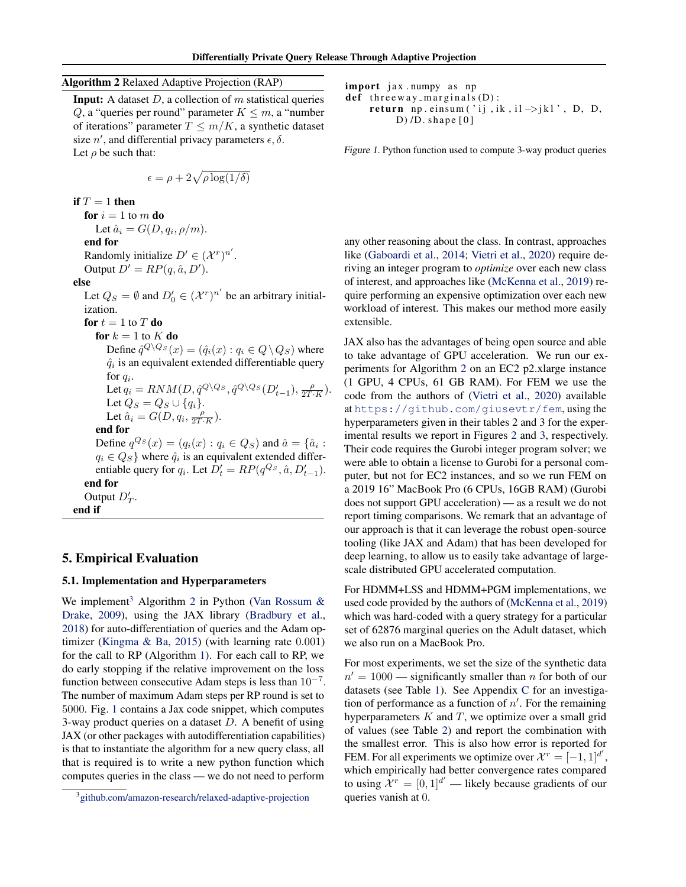## <span id="page-6-0"></span>Algorithm 2 Relaxed Adaptive Projection (RAP)

**Input:** A dataset  $D$ , a collection of  $m$  statistical queries Q, a "queries per round" parameter  $K \leq m$ , a "number of iterations" parameter  $T \leq m/K$ , a synthetic dataset size  $n'$ , and differential privacy parameters  $\epsilon$ ,  $\delta$ . Let  $\rho$  be such that:

$$
\epsilon = \rho + 2\sqrt{\rho \log(1/\delta)}
$$

if  $T = 1$  then for  $i = 1$  to m do Let  $\hat{a}_i = G(D, q_i, \rho/m)$ . end for Randomly initialize  $D' \in (\mathcal{X}^r)^{n'}$ . Output  $D' = RP(q, \hat{a}, D').$ else

Let  $Q_S = \emptyset$  and  $D'_0 \in (\mathcal{X}^r)^{n'}$  be an arbitrary initialization. for  $t = 1$  to  $T$  do for  $k = 1$  to  $K$  do Define  $\hat{q}^{Q\setminus Q_S}(x) = (\hat{q}_i(x) : q_i \in Q \setminus Q_S)$  where

 $\hat{q}_i$  is an equivalent extended differentiable query for  $q_i$ . Let  $q_i = RNM(D, \hat{q}^{Q\setminus Q_S}, \hat{q}^{Q\setminus Q_S}(D'_{t-1}), \frac{\rho}{2T \cdot K}).$ Let  $Q_S = Q_S \cup \{q_i\}.$ Let  $\hat{a}_i = G(D, q_i, \frac{\rho}{2T \cdot K}).$ 

end for Define  $q^{Q_S}(x) = (q_i(x) : q_i \in Q_S)$  and  $\hat{a} = \{\hat{a}_i :$  $q_i \in Q_S$  where  $\hat{q}_i$  is an equivalent extended differentiable query for  $q_i$ . Let  $D'_t = RP(q^{Q_s}, \hat{a}, D'_{t-1})$ . end for Output  $D'_T$ . end if

### 5. Empirical Evaluation

### 5.1. Implementation and Hyperparameters

We implement<sup>3</sup> Algorithm 2 in Python (Van Rossum  $\&$ [Drake,](#page-10-0) [2009\)](#page-10-0), using the JAX library [\(Bradbury et al.,](#page-9-0) [2018\)](#page-9-0) for auto-differentiation of queries and the Adam optimizer [\(Kingma & Ba,](#page-10-0) [2015\)](#page-10-0) (with learning rate 0.001) for the call to RP (Algorithm [1\)](#page-5-0). For each call to RP, we do early stopping if the relative improvement on the loss function between consecutive Adam steps is less than  $10^{-7}$ . The number of maximum Adam steps per RP round is set to 5000. Fig. 1 contains a Jax code snippet, which computes 3-way product queries on a dataset  $D$ . A benefit of using JAX (or other packages with autodifferentiation capabilities) is that to instantiate the algorithm for a new query class, all that is required is to write a new python function which computes queries in the class — we do not need to perform

```
import jax.numpy as np
def three way -marginals(D):
    return np. einsum ('ij, ik, il \rightarrowjkl', D, D,
         D) /D. shape [0]
```
Figure 1. Python function used to compute 3-way product queries

any other reasoning about the class. In contrast, approaches like [\(Gaboardi et al.,](#page-9-0) [2014;](#page-9-0) [Vietri et al.,](#page-10-0) [2020\)](#page-10-0) require deriving an integer program to *optimize* over each new class of interest, and approaches like [\(McKenna et al.,](#page-10-0) [2019\)](#page-10-0) require performing an expensive optimization over each new workload of interest. This makes our method more easily extensible.

JAX also has the advantages of being open source and able to take advantage of GPU acceleration. We run our experiments for Algorithm 2 on an EC2 p2.xlarge instance (1 GPU, 4 CPUs, 61 GB RAM). For FEM we use the code from the authors of [\(Vietri et al.,](#page-10-0) [2020\)](#page-10-0) available at <https://github.com/giusevtr/fem>, using the hyperparameters given in their tables 2 and 3 for the experimental results we report in Figures [2](#page-7-0) and [3,](#page-8-0) respectively. Their code requires the Gurobi integer program solver; we were able to obtain a license to Gurobi for a personal computer, but not for EC2 instances, and so we run FEM on a 2019 16" MacBook Pro (6 CPUs, 16GB RAM) (Gurobi does not support GPU acceleration) — as a result we do not report timing comparisons. We remark that an advantage of our approach is that it can leverage the robust open-source tooling (like JAX and Adam) that has been developed for deep learning, to allow us to easily take advantage of largescale distributed GPU accelerated computation.

For HDMM+LSS and HDMM+PGM implementations, we used code provided by the authors of [\(McKenna et al.,](#page-10-0) [2019\)](#page-10-0) which was hard-coded with a query strategy for a particular set of 62876 marginal queries on the Adult dataset, which we also run on a MacBook Pro.

For most experiments, we set the size of the synthetic data  $n' = 1000$  — significantly smaller than n for both of our datasets (see Table [1\)](#page-7-0). See Appendix [C](#page--1-0) for an investigation of performance as a function of  $n'$ . For the remaining hyperparameters  $K$  and  $T$ , we optimize over a small grid of values (see Table [2\)](#page-7-0) and report the combination with the smallest error. This is also how error is reported for FEM. For all experiments we optimize over  $\mathcal{X}^r = [-1, 1]^{d'}$ , which empirically had better convergence rates compared to using  $\mathcal{X}^r = [0, 1]^d'$  — likely because gradients of our queries vanish at 0.

<sup>&</sup>lt;sup>3</sup> [github.com/amazon-research/relaxed-adaptive-projection](https://www.github.com/amazon-research/relaxed-adaptive-projection)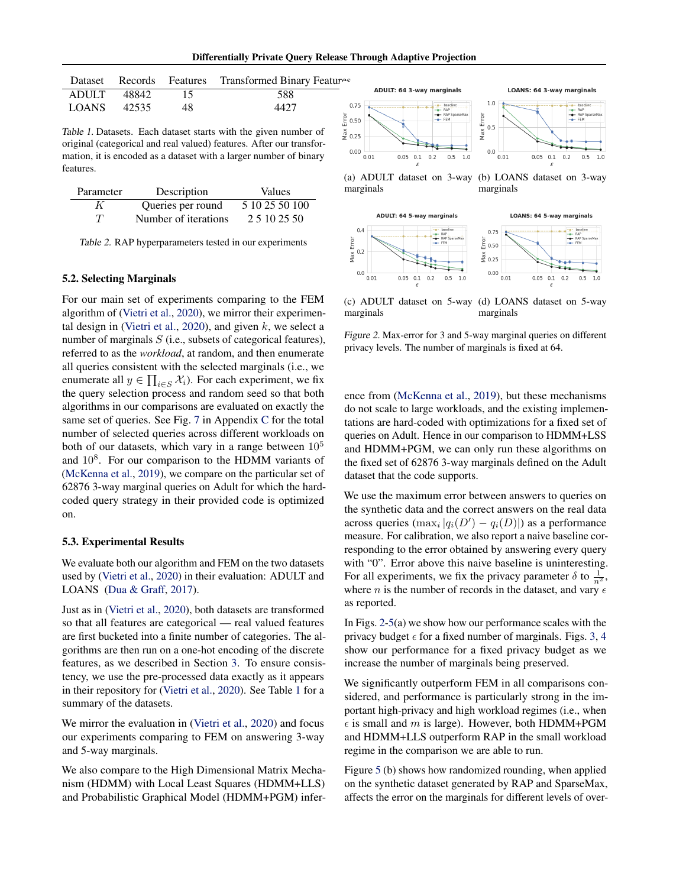Differentially Private Query Release Through Adaptive Projection

 $0.0\frac{1}{0.01}$ 

 $0.05 \quad 0.1$ 

 $0.2$  $0.5$  $1.0$ 

<span id="page-7-0"></span>

|             |                |     | Dataset Records Features Transformed Binary Features |
|-------------|----------------|-----|------------------------------------------------------|
|             | ADULT 48842 15 |     | 588                                                  |
| LOANS 42535 |                | -48 | 4427                                                 |

Table 1. Datasets. Each dataset starts with the given number of original (categorical and real valued) features. After our transformation, it is encoded as a dataset with a larger number of binary features.

| Parameter | Description          | Values         |
|-----------|----------------------|----------------|
| K         | Queries per round    | 5 10 25 50 100 |
| T         | Number of iterations | 2 5 10 25 50   |

Table 2. RAP hyperparameters tested in our experiments

### 5.2. Selecting Marginals

For our main set of experiments comparing to the FEM algorithm of [\(Vietri et al.,](#page-10-0) [2020\)](#page-10-0), we mirror their experimen-tal design in [\(Vietri et al.,](#page-10-0) [2020\)](#page-10-0), and given  $k$ , we select a number of marginals  $S$  (i.e., subsets of categorical features), referred to as the *workload*, at random, and then enumerate all queries consistent with the selected marginals (i.e., we enumerate all  $y \in \prod_{i \in S} \mathcal{X}_i$ ). For each experiment, we fix the query selection process and random seed so that both algorithms in our comparisons are evaluated on exactly the same set of queries. See Fig. [7](#page--1-0) in Appendix [C](#page--1-0) for the total number of selected queries across different workloads on both of our datasets, which vary in a range between  $10<sup>5</sup>$ and  $10<sup>8</sup>$ . For our comparison to the HDMM variants of [\(McKenna et al.,](#page-10-0) [2019\)](#page-10-0), we compare on the particular set of 62876 3-way marginal queries on Adult for which the hardcoded query strategy in their provided code is optimized on.

### 5.3. Experimental Results

We evaluate both our algorithm and FEM on the two datasets used by [\(Vietri et al.,](#page-10-0) [2020\)](#page-10-0) in their evaluation: ADULT and LOANS [\(Dua & Graff,](#page-9-0) [2017\)](#page-9-0).

Just as in [\(Vietri et al.,](#page-10-0) [2020\)](#page-10-0), both datasets are transformed so that all features are categorical — real valued features are first bucketed into a finite number of categories. The algorithms are then run on a one-hot encoding of the discrete features, as we described in Section [3.](#page-3-0) To ensure consistency, we use the pre-processed data exactly as it appears in their repository for [\(Vietri et al.,](#page-10-0) [2020\)](#page-10-0). See Table 1 for a summary of the datasets.

We mirror the evaluation in [\(Vietri et al.,](#page-10-0) [2020\)](#page-10-0) and focus our experiments comparing to FEM on answering 3-way and 5-way marginals.

We also compare to the High Dimensional Matrix Mechanism (HDMM) with Local Least Squares (HDMM+LLS) and Probabilistic Graphical Model (HDMM+PGM) infer-



(c) ADULT dataset on 5-way (d) LOANS dataset on 5-way marginals marginals

 $\frac{8}{5}$  0.25

 $0.00$ 

 $0.01$ 

 $0.05 \quad 0.1$  $0.2$   $0.5$  $1.0$ 

Figure 2. Max-error for 3 and 5-way marginal queries on different privacy levels. The number of marginals is fixed at 64.

ence from [\(McKenna et al.,](#page-10-0) [2019\)](#page-10-0), but these mechanisms do not scale to large workloads, and the existing implementations are hard-coded with optimizations for a fixed set of queries on Adult. Hence in our comparison to HDMM+LSS and HDMM+PGM, we can only run these algorithms on the fixed set of 62876 3-way marginals defined on the Adult dataset that the code supports.

We use the maximum error between answers to queries on the synthetic data and the correct answers on the real data across queries  $(\max_i |q_i(D') - q_i(D)|)$  as a performance measure. For calibration, we also report a naive baseline corresponding to the error obtained by answering every query with "0". Error above this naive baseline is uninteresting. For all experiments, we fix the privacy parameter  $\delta$  to  $\frac{1}{n^2}$ , where *n* is the number of records in the dataset, and vary  $\epsilon$ as reported.

In Figs. 2[-5\(](#page-8-0)a) we show how our performance scales with the privacy budget  $\epsilon$  for a fixed number of marginals. Figs. [3,](#page-8-0) [4](#page-8-0) show our performance for a fixed privacy budget as we increase the number of marginals being preserved.

We significantly outperform FEM in all comparisons considered, and performance is particularly strong in the important high-privacy and high workload regimes (i.e., when  $\epsilon$  is small and m is large). However, both HDMM+PGM and HDMM+LLS outperform RAP in the small workload regime in the comparison we are able to run.

Figure [5](#page-8-0) (b) shows how randomized rounding, when applied on the synthetic dataset generated by RAP and SparseMax, affects the error on the marginals for different levels of over-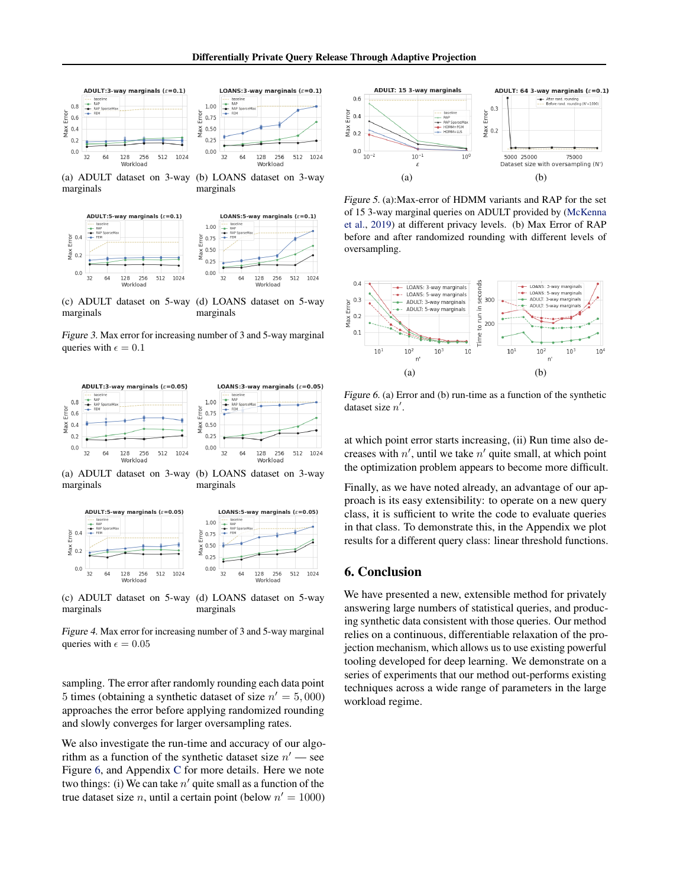<span id="page-8-0"></span>





(c) ADULT dataset on 5-way marginals (d) LOANS dataset on 5-way marginals





(a) ADULT dataset on 3-way marginals (b) LOANS dataset on 3-way marginals



(c) ADULT dataset on 5-way marginals (d) LOANS dataset on 5-way marginals

Figure 4. Max error for increasing number of 3 and 5-way marginal queries with  $\epsilon = 0.05$ 

sampling. The error after randomly rounding each data point 5 times (obtaining a synthetic dataset of size  $n' = 5,000$ ) approaches the error before applying randomized rounding and slowly converges for larger oversampling rates.

We also investigate the run-time and accuracy of our algorithm as a function of the synthetic dataset size  $n'$  — see Figure 6, and Appendix [C](#page--1-0) for more details. Here we note two things: (i) We can take  $n'$  quite small as a function of the true dataset size *n*, until a certain point (below  $n' = 1000$ )



Figure 5. (a):Max-error of HDMM variants and RAP for the set of 15 3-way marginal queries on ADULT provided by [\(McKenna](#page-10-0) [et al.,](#page-10-0) [2019\)](#page-10-0) at different privacy levels. (b) Max Error of RAP before and after randomized rounding with different levels of oversampling.



Figure 6. (a) Error and (b) run-time as a function of the synthetic dataset size  $n'$ .

at which point error starts increasing, (ii) Run time also decreases with  $n'$ , until we take  $n'$  quite small, at which point the optimization problem appears to become more difficult.

Finally, as we have noted already, an advantage of our approach is its easy extensibility: to operate on a new query class, it is sufficient to write the code to evaluate queries in that class. To demonstrate this, in the Appendix we plot results for a different query class: linear threshold functions.

## 6. Conclusion

We have presented a new, extensible method for privately answering large numbers of statistical queries, and producing synthetic data consistent with those queries. Our method relies on a continuous, differentiable relaxation of the projection mechanism, which allows us to use existing powerful tooling developed for deep learning. We demonstrate on a series of experiments that our method out-performs existing techniques across a wide range of parameters in the large workload regime.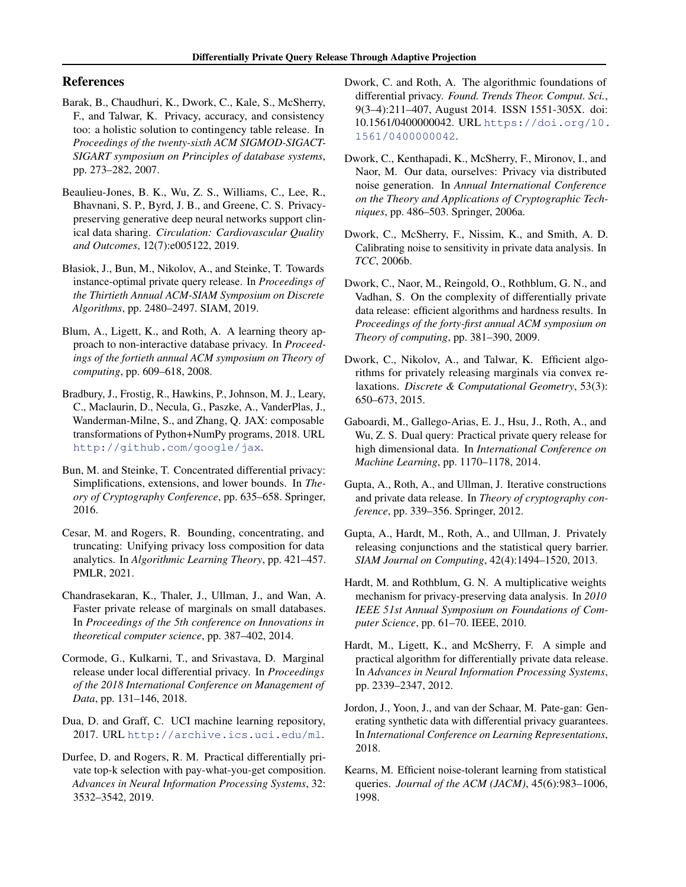## <span id="page-9-0"></span>References

- Barak, B., Chaudhuri, K., Dwork, C., Kale, S., McSherry, F., and Talwar, K. Privacy, accuracy, and consistency too: a holistic solution to contingency table release. In *Proceedings of the twenty-sixth ACM SIGMOD-SIGACT-SIGART symposium on Principles of database systems*, pp. 273–282, 2007.
- Beaulieu-Jones, B. K., Wu, Z. S., Williams, C., Lee, R., Bhavnani, S. P., Byrd, J. B., and Greene, C. S. Privacypreserving generative deep neural networks support clinical data sharing. *Circulation: Cardiovascular Quality and Outcomes*, 12(7):e005122, 2019.
- Błasiok, J., Bun, M., Nikolov, A., and Steinke, T. Towards instance-optimal private query release. In *Proceedings of the Thirtieth Annual ACM-SIAM Symposium on Discrete Algorithms*, pp. 2480–2497. SIAM, 2019.
- Blum, A., Ligett, K., and Roth, A. A learning theory approach to non-interactive database privacy. In *Proceedings of the fortieth annual ACM symposium on Theory of computing*, pp. 609–618, 2008.
- Bradbury, J., Frostig, R., Hawkins, P., Johnson, M. J., Leary, C., Maclaurin, D., Necula, G., Paszke, A., VanderPlas, J., Wanderman-Milne, S., and Zhang, Q. JAX: composable transformations of Python+NumPy programs, 2018. URL <http://github.com/google/jax>.
- Bun, M. and Steinke, T. Concentrated differential privacy: Simplifications, extensions, and lower bounds. In *Theory of Cryptography Conference*, pp. 635–658. Springer, 2016.
- Cesar, M. and Rogers, R. Bounding, concentrating, and truncating: Unifying privacy loss composition for data analytics. In *Algorithmic Learning Theory*, pp. 421–457. PMLR, 2021.
- Chandrasekaran, K., Thaler, J., Ullman, J., and Wan, A. Faster private release of marginals on small databases. In *Proceedings of the 5th conference on Innovations in theoretical computer science*, pp. 387–402, 2014.
- Cormode, G., Kulkarni, T., and Srivastava, D. Marginal release under local differential privacy. In *Proceedings of the 2018 International Conference on Management of Data*, pp. 131–146, 2018.
- Dua, D. and Graff, C. UCI machine learning repository, 2017. URL <http://archive.ics.uci.edu/ml>.
- Durfee, D. and Rogers, R. M. Practical differentially private top-k selection with pay-what-you-get composition. *Advances in Neural Information Processing Systems*, 32: 3532–3542, 2019.
- Dwork, C. and Roth, A. The algorithmic foundations of differential privacy. *Found. Trends Theor. Comput. Sci.*, 9(3–4):211–407, August 2014. ISSN 1551-305X. doi: 10.1561/0400000042. URL [https://doi.org/10.](https://doi.org/10.1561/0400000042) [1561/0400000042](https://doi.org/10.1561/0400000042).
- Dwork, C., Kenthapadi, K., McSherry, F., Mironov, I., and Naor, M. Our data, ourselves: Privacy via distributed noise generation. In *Annual International Conference on the Theory and Applications of Cryptographic Techniques*, pp. 486–503. Springer, 2006a.
- Dwork, C., McSherry, F., Nissim, K., and Smith, A. D. Calibrating noise to sensitivity in private data analysis. In *TCC*, 2006b.
- Dwork, C., Naor, M., Reingold, O., Rothblum, G. N., and Vadhan, S. On the complexity of differentially private data release: efficient algorithms and hardness results. In *Proceedings of the forty-first annual ACM symposium on Theory of computing*, pp. 381–390, 2009.
- Dwork, C., Nikolov, A., and Talwar, K. Efficient algorithms for privately releasing marginals via convex relaxations. *Discrete & Computational Geometry*, 53(3): 650–673, 2015.
- Gaboardi, M., Gallego-Arias, E. J., Hsu, J., Roth, A., and Wu, Z. S. Dual query: Practical private query release for high dimensional data. In *International Conference on Machine Learning*, pp. 1170–1178, 2014.
- Gupta, A., Roth, A., and Ullman, J. Iterative constructions and private data release. In *Theory of cryptography conference*, pp. 339–356. Springer, 2012.
- Gupta, A., Hardt, M., Roth, A., and Ullman, J. Privately releasing conjunctions and the statistical query barrier. *SIAM Journal on Computing*, 42(4):1494–1520, 2013.
- Hardt, M. and Rothblum, G. N. A multiplicative weights mechanism for privacy-preserving data analysis. In *2010 IEEE 51st Annual Symposium on Foundations of Computer Science*, pp. 61–70. IEEE, 2010.
- Hardt, M., Ligett, K., and McSherry, F. A simple and practical algorithm for differentially private data release. In *Advances in Neural Information Processing Systems*, pp. 2339–2347, 2012.
- Jordon, J., Yoon, J., and van der Schaar, M. Pate-gan: Generating synthetic data with differential privacy guarantees. In *International Conference on Learning Representations*, 2018.
- Kearns, M. Efficient noise-tolerant learning from statistical queries. *Journal of the ACM (JACM)*, 45(6):983–1006, 1998.